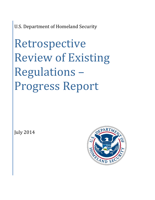U.S. Department of Homeland Security

Retrospective Review of Existing Regulations – Progress Report

July 2014

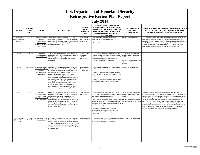| <b>U.S. Department of Homeland Security</b>                  |                                            |                                                                                                                                       |                                                                                                                                                                                                                                                                                                                                                                                                                                                                                                                                                                                                                                                                                                                                                  |                                                                      |                                                                                                                                                                                                                                                                                                                                                                                                                                                                                                                             |                                                                                                                                                                        |                                                                                                                                                                                                                                                                                                                                                                                                                                                                                                                                                                                                                                                                                                                                                                                                                                             |  |
|--------------------------------------------------------------|--------------------------------------------|---------------------------------------------------------------------------------------------------------------------------------------|--------------------------------------------------------------------------------------------------------------------------------------------------------------------------------------------------------------------------------------------------------------------------------------------------------------------------------------------------------------------------------------------------------------------------------------------------------------------------------------------------------------------------------------------------------------------------------------------------------------------------------------------------------------------------------------------------------------------------------------------------|----------------------------------------------------------------------|-----------------------------------------------------------------------------------------------------------------------------------------------------------------------------------------------------------------------------------------------------------------------------------------------------------------------------------------------------------------------------------------------------------------------------------------------------------------------------------------------------------------------------|------------------------------------------------------------------------------------------------------------------------------------------------------------------------|---------------------------------------------------------------------------------------------------------------------------------------------------------------------------------------------------------------------------------------------------------------------------------------------------------------------------------------------------------------------------------------------------------------------------------------------------------------------------------------------------------------------------------------------------------------------------------------------------------------------------------------------------------------------------------------------------------------------------------------------------------------------------------------------------------------------------------------------|--|
| <b>Retrospective Review Plan Report</b><br><b>July 2014</b>  |                                            |                                                                                                                                       |                                                                                                                                                                                                                                                                                                                                                                                                                                                                                                                                                                                                                                                                                                                                                  |                                                                      |                                                                                                                                                                                                                                                                                                                                                                                                                                                                                                                             |                                                                                                                                                                        |                                                                                                                                                                                                                                                                                                                                                                                                                                                                                                                                                                                                                                                                                                                                                                                                                                             |  |
| Component                                                    | <b>RIN/OMB</b><br>Control<br><b>Number</b> | Rule/ICR                                                                                                                              | <b>Brief Description</b>                                                                                                                                                                                                                                                                                                                                                                                                                                                                                                                                                                                                                                                                                                                         | <b>Actual or</b><br><b>Target</b><br>Completion<br>Date              | Anticipated Savings in Costs and/or<br><b>Information Collection Burdens, together</b><br>with any Anticipated Changes in Benefits<br>(please quantify, to the extent feasible, &<br>also specify baseline, time horizon, &<br>affected groups)                                                                                                                                                                                                                                                                             | Progress Updates &<br>Anticipated<br>Accomplishments                                                                                                                   | <b>Updated Responses to (a) Substantive Public Comments received</b><br>on DHS's Retrospective Review Plan (if applicable) or (b)<br><b>Subsequent Requests for Comments (if applicable)</b>                                                                                                                                                                                                                                                                                                                                                                                                                                                                                                                                                                                                                                                |  |
| U.S. Citizenship &<br><b>Immigration Services</b><br>(USCIS) | 1615-AB95                                  | <b>Immigration Benefits</b><br><b>Business</b><br>Transformation:<br>Nonimmigrants;<br>Students and Exchang<br><b>Visitor Program</b> | This rulemaking primarily focuses on 8 CFR Part 214,<br>which covers the nonimmigrant classes, including the<br>requirements for admission, extension, maintenance of<br>status, and the Student and Exchange Visitor<br>Information System (SEVIS).                                                                                                                                                                                                                                                                                                                                                                                                                                                                                             | Publication of the<br>Final Rule expected<br>in Spring 2015.         | Provide the public with a more user-friendly<br>rganization of regulatory requirements.<br>Reduce public confusion.                                                                                                                                                                                                                                                                                                                                                                                                         | USCIS is developing the rule.                                                                                                                                          | USCIS is drafting business transformation rules, which incorporate many of the<br>suggestions that the public provided to DHS during the development of the DHS<br>Retrospective Review Plan. For example, a commenter had recommended that DHS<br>revise 8 CFR 212.8 to remove outdated language and cross-references. DHS<br>addressed this comment through publication of USCIS's Immigration Benefits<br>Business Transformation, Increment I; Final Rule (see 76 FR 53763).                                                                                                                                                                                                                                                                                                                                                            |  |
| <b>USCIS</b>                                                 | 1615-AB92                                  | Employment<br>Authorization for<br>Certain H-4 Spouses                                                                                | This rule would extend the availability of employment<br>authorization to H-4 dependent spouses of principal H-<br>1B nonimmigrants who have begun the process of<br>seeking lawful permanent resident status through<br>employment.                                                                                                                                                                                                                                                                                                                                                                                                                                                                                                             | Notice of Proposed<br>Rulemaking<br>NPRM) published<br>May 12, 2014. | Would increase incentives of H-1B nonimmigrant<br>vorkers to continue to contribute to the U.S. economy<br>as they complete the process to adjust status to that of<br>lawful permanent resident by providing parallel<br>employment incentives to the H-4 spouse.                                                                                                                                                                                                                                                          | The NPRM had a 60-day public<br>comment period, which closed July<br>11, 2014.<br>USCIS is reviewing comments and<br>will publish a final rule as soon as<br>possible. |                                                                                                                                                                                                                                                                                                                                                                                                                                                                                                                                                                                                                                                                                                                                                                                                                                             |  |
| <b>USCIS</b>                                                 | 1615-AA58                                  | <b>Professional Conduct</b><br>or Practitioners: Rules<br>Procedures,<br>Representation and<br>Appearances                            | On February 2, 2010, DHS published an interim rule<br>with request for comments, implementing amendments<br>to its regulations to conform the grounds of discipline<br>and procedures regulations with those promulgated by<br>the Department of Justice (DOJ); clarify who is<br>authorized to represent applicants and petitioners in<br>cases before DHS; remove duplicative rules, procedures,<br>and authority; improve the clarity and uniformity of<br>existing regulations; make technical and procedural<br>changes; and conform terminology. The final rule will<br>finalize the interim rule and will made additional<br>changes to terminology and clarifications for those<br>attorneys that are engaged in limited legal services. | Publication of the<br>Final Rule expected<br>n Summer 2014.          | Not expected to result in any costs to applicants or<br>practitioners.<br>Expected to provide qualitative benefits in that the<br>amendments provide clarification and consistency with<br>DOJ regulations.<br>Expected to reduce the information collection burden<br>for practitioners that are engaged in limited legal<br>services.                                                                                                                                                                                     | USCIS is developing the rule.                                                                                                                                          |                                                                                                                                                                                                                                                                                                                                                                                                                                                                                                                                                                                                                                                                                                                                                                                                                                             |  |
| <b>USCIS</b>                                                 | 1615-AC00                                  | Enhancing<br>Opportunities for<br>H-1B1, CW-1, and<br>-3 Nonimmigrants and<br>EB-1 Immigrants                                         | DHS is considering changes that would harmonize the<br>egulations for E-3, H-1B1, and CW-1 nonimmigrant<br>classifications with existing regulations for other<br>similarly situated nonimmigrant classifications. In<br>addition, DHS is considering amending the regulations<br>affecting the immigration classification for employment-<br>based first preference (EB-1) outstanding professors and<br>researchers by expanding the types of evidence that can<br>upport these petitions.                                                                                                                                                                                                                                                     | NPRM published<br>May 12, 2014.                                      | • Harmonize continued employment provisions for E-<br>3, H-1B1, and CW-1 nonimmigrant classifications with<br>other similarly situated nonimmigrants.<br>• Avoid potential interruptions in employment, thereb<br>avoiding lost wages for nonimmigrant employees and<br>lost productivity for employers, while the extension of<br>stay petition is pending.<br>Harmonize the evidentiary requirement for<br>outstanding professors and researchers with other<br>comparable employment-based immigrant<br>classifications. | The NPRM had a 60-day public<br>omment period, which closed July<br>11, 2014.<br>will publish a final rule as soon as<br>possible.                                     | During development of DHS's Retrospective Review Plan, DHS received a<br>comment from the public, requesting specific changes to the DHS regulations that<br>govern continued work authorization for E-3 and H-1B1 nonimmigrants when an<br>extension of status petition is timely filed, and to expand the types of evidence<br>USCIS is reviewing comments and allowable in support of immigrant petitions for outstanding researchers or<br>professors. While considering the specific request, USCIS realized that CW-1<br>workers seeking to continue with the same employer were facing a similar<br>disadvantage by not having continued work authorization automatically extended<br>during the pendency of an extension of status petition. USCIS is taking these<br>comments into consideration as USCIS develops the rulemaking. |  |
| U.S. Coast Guard<br>(USCG or Coast<br>Guard)                 | No RIN<br>Available                        | <b>Vessel Documentation</b><br><b>Renewal Fees</b>                                                                                    | Coast Guard will propose a Notice of Intent (NOI) with<br>Request for Comment on the possibility of a multi-year<br>newal program for fees charged at the time of renewal.<br>The NOI will solicit comments from the public about the<br>impacts and implementation of an increased period of<br>validity (i.e., multi-year renewals) for Vessel Certificates<br>of Documentation                                                                                                                                                                                                                                                                                                                                                                | Publication of NOI<br>expected in Winter<br>2014                     | • Provide efficiencies in Coast Guard operations (fewe<br>applications for renewal annually) and less burden on<br>he public (decreased reporting requirements)                                                                                                                                                                                                                                                                                                                                                             | Coast Guard is drafting the NOI.                                                                                                                                       |                                                                                                                                                                                                                                                                                                                                                                                                                                                                                                                                                                                                                                                                                                                                                                                                                                             |  |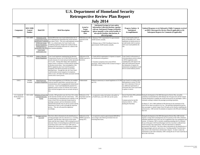| <b>U.S. Department of Homeland Security</b>         |                                                   |                                                                                                                                                                                                                                |                                                                                                                                                                                                                                                                                                                                                                                                                                                                                                                                                                                                                                                                   |                                                            |                                                                                                                                                                                                                                                 |                                                                                                                                                                                                                                                                                                 |                                                                                                                                                                                                                                                                                                                                                                                                                                                                                                                                                                                                                                                                                                                                                                                                                                                                                                 |  |
|-----------------------------------------------------|---------------------------------------------------|--------------------------------------------------------------------------------------------------------------------------------------------------------------------------------------------------------------------------------|-------------------------------------------------------------------------------------------------------------------------------------------------------------------------------------------------------------------------------------------------------------------------------------------------------------------------------------------------------------------------------------------------------------------------------------------------------------------------------------------------------------------------------------------------------------------------------------------------------------------------------------------------------------------|------------------------------------------------------------|-------------------------------------------------------------------------------------------------------------------------------------------------------------------------------------------------------------------------------------------------|-------------------------------------------------------------------------------------------------------------------------------------------------------------------------------------------------------------------------------------------------------------------------------------------------|-------------------------------------------------------------------------------------------------------------------------------------------------------------------------------------------------------------------------------------------------------------------------------------------------------------------------------------------------------------------------------------------------------------------------------------------------------------------------------------------------------------------------------------------------------------------------------------------------------------------------------------------------------------------------------------------------------------------------------------------------------------------------------------------------------------------------------------------------------------------------------------------------|--|
| <b>Retrospective Review Plan Report</b>             |                                                   |                                                                                                                                                                                                                                |                                                                                                                                                                                                                                                                                                                                                                                                                                                                                                                                                                                                                                                                   |                                                            |                                                                                                                                                                                                                                                 |                                                                                                                                                                                                                                                                                                 |                                                                                                                                                                                                                                                                                                                                                                                                                                                                                                                                                                                                                                                                                                                                                                                                                                                                                                 |  |
| <b>July 2014</b>                                    |                                                   |                                                                                                                                                                                                                                |                                                                                                                                                                                                                                                                                                                                                                                                                                                                                                                                                                                                                                                                   |                                                            |                                                                                                                                                                                                                                                 |                                                                                                                                                                                                                                                                                                 |                                                                                                                                                                                                                                                                                                                                                                                                                                                                                                                                                                                                                                                                                                                                                                                                                                                                                                 |  |
| Component                                           | <b>RIN/OMB</b><br><b>Control</b><br><b>Number</b> | <b>Rule/ICR</b>                                                                                                                                                                                                                | <b>Brief Description</b>                                                                                                                                                                                                                                                                                                                                                                                                                                                                                                                                                                                                                                          | <b>Actual or</b><br><b>Target</b><br>Completion<br>Date    | Anticipated Savings in Costs and/or<br><b>Information Collection Burdens, together</b><br>with any Anticipated Changes in Benefits<br>(please quantify, to the extent feasible, &<br>also specify baseline, time horizon, &<br>affected groups) | Progress Updates &<br>Anticipated<br><b>Accomplishments</b>                                                                                                                                                                                                                                     | <b>Updated Responses to (a) Substantive Public Comments received</b><br>on DHS's Retrospective Review Plan (if applicable) or (b)<br><b>Subsequent Requests for Comments (if applicable)</b>                                                                                                                                                                                                                                                                                                                                                                                                                                                                                                                                                                                                                                                                                                    |  |
| <b>USCG</b>                                         | 1625-AB80                                         | Elimination of the<br><b>Transportation Worker</b><br>dentification Credential<br>(TWIC) for Certain<br><b>Mariner Populations</b><br>(Implementation of<br>ection 809 of the 2010<br><b>Coast Guard</b><br>Authorization Act) | Section 809 of the Coast Guard Authorization Act of<br>2010 eliminated the requirement that certain mariners<br>must obtain TWICs. This rule would implement section 2014.<br>809. As a related matter, the Coast Guard is also<br>considering regulatory changes that would provide an<br>exemption from paying certain fees for a subset of the<br>above mariner population.                                                                                                                                                                                                                                                                                    | Publication of a rule<br>expected in Fall                  | • Eliminate TWIC requirements for approximately<br>8,000 mariners annually.<br>Eliminate trips to TWIC Enrollment Centers for<br>approximately 18,000 mariners annually.                                                                        | Coast Guard issued a Letter of<br>Policy in December 2011, which<br>implements an interim process to<br>provide burden relief to mariners<br>until Coast Guard publishes the<br>rule.                                                                                                           |                                                                                                                                                                                                                                                                                                                                                                                                                                                                                                                                                                                                                                                                                                                                                                                                                                                                                                 |  |
| <b>USCG</b>                                         | 1625-AB38                                         | <b>Update to Maritime</b><br><b>Security Regulations</b>                                                                                                                                                                       | Coast Guard regulations implementing the Maritime<br>Transportation Security Act of 2002 (MTSA) provide<br>security measures for vessel and port facility operations<br>in U.S. ports. Among other things, these regulations<br>require owners or operators of vessels and port facilities<br>to develop security plans. Since promulgation of the<br>MTSA regulations, the Coast Guard has granted<br>exemptions from MTSA provisions on an ad hoc,<br>individual basis. Through this rule, the Coast Guard<br>would formalize several categories of exemptions,<br>which, in turn, will reduce the burden associated with the<br>current ad hoc waiver process. | Publication of the<br>NPRM expected in<br>Fall 2014.       | • Clarify MTSA requirements in response to requests<br>for interpretation and guidance.<br>Formalize exemptions from certain MTSA<br>provisions, which would provide an annual savings of<br>\$125,000 to society.                              | Coast Guard is in the process of<br>reviewing industry practice related<br>to MTSA regulations and is<br>compiling data with regard to the<br>effect that clarifications (beyond<br>the elimination of requests for<br>interpretation and guidance) would<br>have on current industry practice. |                                                                                                                                                                                                                                                                                                                                                                                                                                                                                                                                                                                                                                                                                                                                                                                                                                                                                                 |  |
| <b>USCG</b>                                         | No RIN<br>Available                               | <b>Inland Waterways</b><br><b>Navigation Regulations</b>                                                                                                                                                                       | Coast Guard regulations in 33 CFR Part 162 establish<br>waterway-specific speed limits, restricted areas, and<br>communications rules for geographically limited inland<br>waterways. Coast Guard identified the potential for a<br>regulatory action to revise 33 CFR Part 162 to ensure<br>these restricted navigation areas are accurate and up-to-<br>date.                                                                                                                                                                                                                                                                                                   | Undetermined                                               | · Remove unnecessary or unused regulations in 33 CFR<br>part 162.                                                                                                                                                                               | Coast Guard is in working with its<br>field operators to review 33 CFR<br>part 162 to determine if there are<br>any additional requirements or<br>restrictions that Coast Guard needs<br>to update or remove.                                                                                   |                                                                                                                                                                                                                                                                                                                                                                                                                                                                                                                                                                                                                                                                                                                                                                                                                                                                                                 |  |
| U.S. Customs &<br><b>Border Protection</b><br>(CBP) | 1651-AA96                                         | Definition of Form I-94<br>to Include Electronic<br>Format                                                                                                                                                                     | Currently, CBP generally issues the Form I-94 to aliens<br>at the time they lawfully enter the United States. CBP<br>s transitioning to an automated process whereby it will<br>create a Form I-94 in an electronic format based on<br>passenger, passport, and visa information currently<br>obtained electronically from air and sea carriers and the<br>Department of State as well as through the inspection<br>process. This rule will amend the regulations<br>accordingly.                                                                                                                                                                                 | Publication of the<br>Final Rule expected<br>in Fall 2014. | • Is expected to reduce the burden to the public by<br>,276,800 hours, once CBP rolls out the system.                                                                                                                                           | on March 27, 2013.<br>Comment period for the IFR<br>closed on 4/26/13. CBP is<br>drafting the Final Rule.                                                                                                                                                                                       | Interim Final Rule (IFR) published During the development of the DHS Retrospective Review Plan, one public<br>commenter recommended that CBP eliminate the I-94 paper form and the General<br>Customs Declaration to simplify the overall arrival process for passengers. CBP is<br>onstantly working to enhance the passenger processing experience.<br>On March 27, 2013, DHS published an IFR allowing for the automation of the<br>Form I-94 for aliens arriving by air or sea. This generally eliminated the need for<br>these passengers to submit a paper Form I-94 upon arrival, thereby simplifying the<br>arrival process. CBP received 18 comments in response to the IFR and is drafting a<br>final rule.                                                                                                                                                                           |  |
| CBP                                                 | No RIN<br>Available                               | Passenger List/Crew<br>List I-418                                                                                                                                                                                              | This form collects information for the identification of<br>arriving passengers and crew and serves as a "traveling<br>manifest" from the time a ship arrives in the United<br>States until the time it departs. CBP is testing the use of<br>electronic Notice of Arrival/Departure (eNOA/D) Coast<br>Guard data in lieu of the I-418 Form. CBP wants to<br>eliminate this form; however, a rulemaking is needed to<br>remove these requirements from federal regulations.                                                                                                                                                                                       | Publication of the<br>NPRM expected in<br>Spring 2015.     | · Is expected to result in approximately \$600,000 in<br>ost savings to the Federal government from not<br>reviewing these forms.                                                                                                               |                                                                                                                                                                                                                                                                                                 | During the development of the DHS Retrospective Review Plan, CBP received<br>requests to merge titles 8 (immigration) and 19 (customs) of the CFR to eliminate<br>redundant regulations and to have one set of regulations that cover immigration and<br>customs. In response, CBP is currently considering amending title 8 to eliminate<br>the use of the paper I-418 Form (Passenger List/Crew List) that is collected from<br>vessels arriving in the United States, when this information is submitted<br>electronically via eNOA/D. This form collects information for the identification of<br>arriving passengers and crew and serves as a "traveling manifest" from the time a<br>ship arrives in the United States until the time it departs. In order to reduce the<br>requirements on the trade community, CBP is testing the use of Coast Guard data in<br>lieu of the I-418 Form. |  |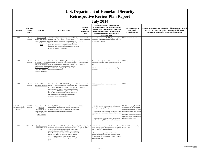| <b>U.S. Department of Homeland Security</b><br><b>Retrospective Review Plan Report</b> |                                            |                                                                                                                                                                                            |                                                                                                                                                                                                                                                                                                                                                                                                                                                                       |                                                         |                                                                                                                                                                                                                                                                                                                                                                      |                                                                                                                                                                                                                                                  |                                                                                                                                                                                              |  |
|----------------------------------------------------------------------------------------|--------------------------------------------|--------------------------------------------------------------------------------------------------------------------------------------------------------------------------------------------|-----------------------------------------------------------------------------------------------------------------------------------------------------------------------------------------------------------------------------------------------------------------------------------------------------------------------------------------------------------------------------------------------------------------------------------------------------------------------|---------------------------------------------------------|----------------------------------------------------------------------------------------------------------------------------------------------------------------------------------------------------------------------------------------------------------------------------------------------------------------------------------------------------------------------|--------------------------------------------------------------------------------------------------------------------------------------------------------------------------------------------------------------------------------------------------|----------------------------------------------------------------------------------------------------------------------------------------------------------------------------------------------|--|
| <b>July 2014</b>                                                                       |                                            |                                                                                                                                                                                            |                                                                                                                                                                                                                                                                                                                                                                                                                                                                       |                                                         |                                                                                                                                                                                                                                                                                                                                                                      |                                                                                                                                                                                                                                                  |                                                                                                                                                                                              |  |
| Component                                                                              | <b>RIN/OMB</b><br>Control<br><b>Number</b> | <b>Rule/ICR</b>                                                                                                                                                                            | <b>Brief Description</b>                                                                                                                                                                                                                                                                                                                                                                                                                                              | <b>Actual or</b><br><b>Target</b><br>Completion<br>Date | Anticipated Savings in Costs and/or<br><b>Information Collection Burdens, together</b><br>with any Anticipated Changes in Benefits<br>(please quantify, to the extent feasible, $\&$<br>also specify baseline, time horizon, &<br>affected groups)                                                                                                                   | Progress Updates &<br>Anticipated<br><b>Accomplishments</b>                                                                                                                                                                                      | <b>Updated Responses to (a) Substantive Public Comments received</b><br>on DHS's Retrospective Review Plan (if applicable) or (b)<br><b>Subsequent Requests for Comments (if applicable)</b> |  |
| CBP                                                                                    | No RIN<br>Available                        | Changes to CBP<br><b>Inbound and Outbound</b><br><b>Manifest Regulations t</b><br>Allow for Electronic<br>Filing                                                                           | This rule would generally amend parts of title 19 CFR,<br>including parts 4, 122, and 123, to allow for the<br>electronic filing of inbound and outbound manifest<br>information where the current regulations require only<br>paper. This regulation is being developed pursuant to<br>Executive Order 13659 (Streamlining the Export/Import<br>Process for America's Businesses).                                                                                   | Publication of the<br>rule expected in Fall<br>2015.    | · Provide filers with more flexibility by allowing the<br>inbound and outbound manifest information to be filed<br>electronically or by paper.                                                                                                                                                                                                                       | CBP is developing the rule.                                                                                                                                                                                                                      |                                                                                                                                                                                              |  |
| CBP                                                                                    | No RIN<br>Available                        | <b>Technical Amendments</b><br>to Clarify U.S. Customs<br>and Border Protection<br><b>Regulations on Advance</b><br>Electronic Information<br>for Cargo Exported<br>from the United States | This rule would amend CBP regulations to clarify<br>equirements for mandatory filing of advance export<br>cargo information through an electronic system. This<br>regulation is being developed pursuant to Executive<br>Order 13659 (Streamlining the Export/Import Process<br>for America's Businesses).                                                                                                                                                            | Publication of the<br>rule expected in<br>Spring 2015.  | ·Reduce confusion (and potentially saves time and<br>effort for the public) by putting updated regulations in<br>place<br>· Would result in no costs, as these are conforming<br>regulations                                                                                                                                                                         | CBP is developing the rule.                                                                                                                                                                                                                      |                                                                                                                                                                                              |  |
| CBP                                                                                    | No RIN<br>Available                        | Freedom of Information<br>Act (FOIA) Procedures                                                                                                                                            | This rule would amend the CBP FOIA regulations. The<br>CBP FOIA regulations have been superseded by DHS<br>FOIA regulations due to the transfer of CBP from the<br>Department of the Treasury to DHS and the subsequent<br>promulgation of DHS FOIA regulations, which provide<br>that the DHS FOIA regulations generally apply to all<br>DHS components except to the extent that a DHS<br>omponent adopts separate guidance.                                        | Publication of the<br>rule expected in<br>Spring 2015.  | · Will reduce confusion by removing outdated<br>regulations.                                                                                                                                                                                                                                                                                                         | CBP is developing the rule.                                                                                                                                                                                                                      |                                                                                                                                                                                              |  |
| <b>Federal Emergency</b><br>Management Agency<br>(FEMA)                                | No RIN<br>Available                        | <b>Increased Federal Cost</b><br>Share and<br>Reimbursement for<br>Force Account Labor<br>for Public Assistance<br>Debris Removal                                                          | Currently, FEMA regulations do not allow for<br>reimbursement of force account labor for debris removal<br>activities and do not allow for increased cost share when<br>in applicant has a debris management plan.                                                                                                                                                                                                                                                    | Undetermined                                            | Will likely result in cost savings due to the greater<br>efficiency in managing debris operations.<br>Provides public assistance applicants with additional<br>flexibility to use a combination of contracting and force<br>labor.<br>Provides benefits, including reduced or eliminated<br>delays in performing debris removal after a disaster.                    | FEMA is developing the NPRM in<br>conjunction with the debris pilot<br>authorized by the Sandy Recovery<br>Improvement Act of 2013 (SRIA)<br>Publication of the NPRM expected<br>after implementation of the debris<br>pilot authorized by SRIA. |                                                                                                                                                                                              |  |
| <b>FEMA</b>                                                                            | 1660-AA77                                  | State Standard and<br><b>Enhanced Mitigation</b><br>Plan                                                                                                                                   | This Final Rule revised FEMA's regulations by changing<br>submission requirements for State Mitigation Plans.<br>This Final Rule reduces the frequency by which States<br>must submit updates to FEMA on their State Mitigation<br>Plans. Previously, these entities prepared and submitted<br>updates with FEMA for review and approval every 3<br>years. Now, these entities will prepare and submit<br>updates with FEMA for review and approval every 5<br>years. | Final Rule published<br>April 25, 2014.                 | • Will allow States to update their plans every 5 years<br>instead of every 3 years, thereby matching the updated<br>cycle for local and tribal governments.<br>Cost savings are expected due to the fact that fewer<br>updates will be required over time. Savings to society<br>are estimated at \$18.8 million over 15 years at a seven<br>percent discount rate. | The Final Rule went into effect on<br>May 27, 2014.                                                                                                                                                                                              |                                                                                                                                                                                              |  |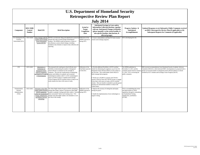| <b>U.S. Department of Homeland Security</b><br><b>Retrospective Review Plan Report</b> |                                            |                                                                                                                                                                          |                                                                                                                                                                                                                                                                                                                                                                                                                                                                                                   |                                                            |                                                                                                                                                                                                                                                                                                                                                                                                                                                                                                                                                               |                                                                                                                                                                         |                                                                                                                                                                                                                                                                                                      |  |  |
|----------------------------------------------------------------------------------------|--------------------------------------------|--------------------------------------------------------------------------------------------------------------------------------------------------------------------------|---------------------------------------------------------------------------------------------------------------------------------------------------------------------------------------------------------------------------------------------------------------------------------------------------------------------------------------------------------------------------------------------------------------------------------------------------------------------------------------------------|------------------------------------------------------------|---------------------------------------------------------------------------------------------------------------------------------------------------------------------------------------------------------------------------------------------------------------------------------------------------------------------------------------------------------------------------------------------------------------------------------------------------------------------------------------------------------------------------------------------------------------|-------------------------------------------------------------------------------------------------------------------------------------------------------------------------|------------------------------------------------------------------------------------------------------------------------------------------------------------------------------------------------------------------------------------------------------------------------------------------------------|--|--|
|                                                                                        | <b>July 2014</b>                           |                                                                                                                                                                          |                                                                                                                                                                                                                                                                                                                                                                                                                                                                                                   |                                                            |                                                                                                                                                                                                                                                                                                                                                                                                                                                                                                                                                               |                                                                                                                                                                         |                                                                                                                                                                                                                                                                                                      |  |  |
| Component                                                                              | <b>RIN/OMB</b><br>Control<br><b>Number</b> | <b>Rule/ICR</b>                                                                                                                                                          | <b>Brief Description</b>                                                                                                                                                                                                                                                                                                                                                                                                                                                                          | <b>Actual or</b><br><b>Target</b><br>Completion<br>Date    | Anticipated Savings in Costs and/or<br><b>Information Collection Burdens, together</b><br>with any Anticipated Changes in Benefits<br>(please quantify, to the extent feasible, &<br>also specify baseline, time horizon, &<br>affected groups)                                                                                                                                                                                                                                                                                                               | Progress Updates &<br>Anticipated<br><b>Accomplishments</b>                                                                                                             | Updated Responses to (a) Substantive Public Comments received<br>on DHS's Retrospective Review Plan (if applicable) or (b)<br><b>Subsequent Requests for Comments (if applicable)</b>                                                                                                                |  |  |
| U.S. Immigration &<br>Customs<br>Enforcement (ICE)                                     | 1653-AA44                                  | Data Changes with the<br><b>Student and Exchange</b><br>Visitor Information<br>System (SEVIS)                                                                            | SEVIS is an electronic filing and adjudication system for<br>schools that seek to enroll foreign nonimmigrant<br>students. The NPRM would incorporate a variety of<br>miscellaneous system-related changes, including<br>mandatory data elements to improve data collection and<br>reporting.                                                                                                                                                                                                     | Publication of the<br>NPRM expected in<br>Spring 2015.     | Correct vulnerabilities and help ICE better monitor<br>schools and exchange programs.                                                                                                                                                                                                                                                                                                                                                                                                                                                                         | ICE is developing the rule.                                                                                                                                             |                                                                                                                                                                                                                                                                                                      |  |  |
| ICE                                                                                    | 1653-AA63                                  | Adjustments to<br>Limitations on<br><b>Designated School</b><br><b>Official Assignment</b><br>nd Study by F-2 and M<br>2 Nonimmigrants                                   | The proposed rule would grant school officials more<br>flexibility in determining the number of designated<br>school officials to nominate for the oversight of<br>campuses. The rule also would permit accompanying<br>spouses and children of academic and vocational<br>nonimmigrant students with F-1 or M-1 nonimmigrant<br>status to enroll in study at a Student and Exchange<br>Visitor Program (SEVP) certified school so long as any<br>study remains less than a full course of study. | Publication of the<br>Final Rule expected<br>in Fall 2014. | Provide additional flexibility to SEVP-certified<br>schools by eliminating the regulatory cap of ten (10)<br>designated school officials (DSOs) at each campus at<br>any one time. This would enable school offices to<br>better manage their programs.<br>Permit up to 45,000 F-2 spouses and 578 M-2<br>spouses, based on June 2012 SEVIS records, to engage<br>in less than a full course of study at SEVP-certified<br>schools. This new benefit is intended to provide greater<br>incentive for international students to study in the<br>United States. | The NPRM published on<br>November 21, 2013, and the<br>comment period closed on January<br>21, 2014. ICE is reviewing the<br>public comments.                           | DHS received recommendations from Homeland Security Academic Advisory<br>Committee (HSAAC), which informed DHS's development of a proposed rule to<br>bermit an increased number of designated school officials (DSOs) at schools<br>certified by ICE's Student and Exchange Visitor Program (SEVP). |  |  |
| Transportation<br>Security<br>Administration<br>(TSA)                                  | 1652-AA61                                  | Revisions to the Alien<br><b>Flight Student Program</b><br>(AFSP) regulations<br>within the Standardized<br>Vetting, Adjudication,<br>and Redress Services<br>rulemaking | The Alien Flight Student Program (AFSP) rulemaking,<br>among other things, requires a prospective alien flight<br>student to undergo a background check called a "security Spring 2015.<br>threat assessment" before each training event. TSA<br>charges each alien flight student a fee intended to cover<br>the costs of the vetting.                                                                                                                                                           | Publication of the<br>NPRM expected in                     | • Improve the accuracy of vetting fees and equity<br>among fee payers.<br>Enable the implementation of new technologies to<br>support vetting.                                                                                                                                                                                                                                                                                                                                                                                                                | TSA is accomplishing the review<br>and improvement of AFSP<br>regulations through its rulemaking<br>on Standardized Vetting,<br>Adjudication, and Redress<br>$(SVAR)$ . |                                                                                                                                                                                                                                                                                                      |  |  |